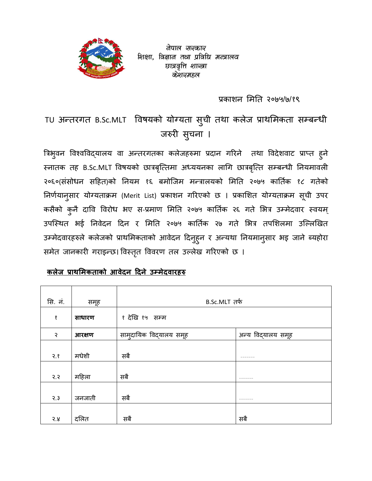

वेपाल सरकार शिक्षा, विज्ञान तथा प्रविधि मन्त्रालय छात्रवृत्ति शाख्वा केशव्यमहल

प्रकाशन मिति २०७५/७/१९

TU अन्तरगत B.Sc.MLT विषयको योग्यता सुची तथा कलेज प्राथमिकता सम्बन्धी जरुरी सुचना ।

त्रिभुवन विश्वविद्**यालय वा अन्तरगतका कलेजहरुमा प्रदान ग**रिने तथा विदेशवाट प्राप्त हुने स्नातक तह B.Sc.MLT विषयको छात्रबृत्तिमा अध्ययनका लागि छात्रबृत्ति सम्बन्धी नियमावली २०६०(संसोधन सहित)को नियम १६ बमोजिम मन्त्रालयको मिति २०७५ कार्तिक १८ गतेको निर्णयानुसार योग्यताक्रम (Merit List) प्रकाशन गरिएको छ । प्रकाशित योग्यताक्रम सूची उपर कसैको कुनै दावि विरोध भए स-प्रमाण मिति २०७५ कार्तिक २६ गते भित्र उम्मेदवार स्वयम् उपस्थित भई निवेदन दिन र मिति २०७५ कार्तिक २७ गते भित्र तपशिलमा उल्लिखित उम्मेदवारहरुले कलेजको प्राथमिकताको आवेदन दिनुहुन र अन्यथा नियमानुसार भइ जाने ब्यहोरा समेत जानकारी गराइन्छ। विस्तृत विवरण तल उल्लेख गरिएको छ ।

## **कलेज ाथ मकताको आवेदन दने उमेदवारह**

| सि. नं. | समूह   | B.Sc.MLT तर्फ           |                    |
|---------|--------|-------------------------|--------------------|
| १       | साधारण | १ देखि १५) सम्म         |                    |
| २       | आरक्षण | सामुदायिक विद्यालय समूह | अन्य विद्यालय समूह |
| 3.8     | मधेशी  | सबै                     | $- - - - - - - -$  |
| 5.5     | महिला  | सबै                     | $-- - - - - -$     |
| 3.3     | जनजाती | सबै                     | $-- - - - - -$     |
| 3.8     | दलित   | सबै                     | सबै                |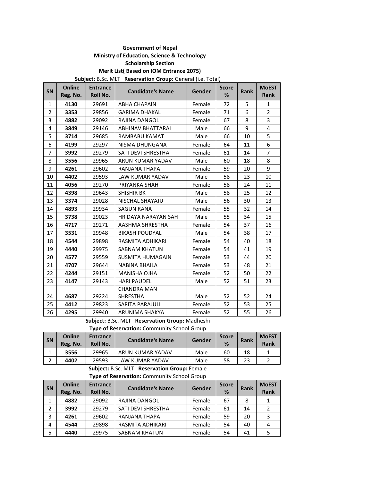## **Government of Nepal Ministry of Education, Science & Technology Scholarship Section Merit List( Based on IOM Entrance 2075)**

**Subject:** B.Sc. MLT **Reservation Group:** General (i.e. Total)

| <b>SN</b>      | <b>Online</b><br>Reg. No. | <b>Entrance</b><br><b>Roll No.</b> | <b>Candidate's Name</b>  | Gender | <b>Score</b><br>% | <b>Rank</b> | <b>MoEST</b><br><b>Rank</b> |
|----------------|---------------------------|------------------------------------|--------------------------|--------|-------------------|-------------|-----------------------------|
| $\mathbf{1}$   | 4130                      | 29691                              | <b>ABHA CHAPAIN</b>      | Female | 72                | 5           | 1                           |
| $\overline{2}$ | 3353                      | 29856                              | <b>GARIMA DHAKAL</b>     | Female | 71                | 6           | $\overline{2}$              |
| 3              | 4882                      | 29092                              | RAJINA DANGOL            | Female | 67                | 8           | 3                           |
| 4              | 3849                      | 29146                              | <b>ABHINAV BHATTARAI</b> | Male   | 66                | 9           | 4                           |
| 5              | 3714                      | 29685                              | RAMBABU KAMAT            | Male   | 66                | 10          | 5                           |
| 6              | 4199                      | 29297                              | NISMA DHUNGANA           | Female | 64                | 11          | 6                           |
| 7              | 3992                      | 29279                              | SATI DEVI SHRESTHA       | Female | 61                | 14          | $\overline{7}$              |
| 8              | 3556                      | 29965                              | ARUN KUMAR YADAV         | Male   | 60                | 18          | 8                           |
| 9              | 4261                      | 29602                              | RANJANA THAPA            | Female | 59                | 20          | 9                           |
| 10             | 4402                      | 29593                              | <b>LAW KUMAR YADAV</b>   | Male   | 58                | 23          | 10                          |
| 11             | 4056                      | 29270                              | PRIYANKA SHAH            | Female | 58                | 24          | 11                          |
| 12             | 4398                      | 29643                              | SHISHIR BK               | Male   | 58                | 25          | 12                          |
| 13             | 3374                      | 29028                              | NISCHAL SHAYAJU          | Male   | 56                | 30          | 13                          |
| 14             | 4893                      | 29934                              | <b>SAGUN RANA</b>        | Female | 55                | 32          | 14                          |
| 15             | 3738                      | 29023                              | HRIDAYA NARAYAN SAH      | Male   | 55                | 34          | 15                          |
| 16             | 4717                      | 29271                              | AASHMA SHRESTHA          | Female | 54                | 37          | 16                          |
| 17             | 3531                      | 29948                              | <b>BIKASH POUDYAL</b>    | Male   | 54                | 38          | 17                          |
| 18             | 4544                      | 29898                              | RASMITA ADHIKARI         | Female | 54                | 40          | 18                          |
| 19             | 4440                      | 29975                              | <b>SABNAM KHATUN</b>     | Female | 54                | 41          | 19                          |
| 20             | 4577                      | 29559                              | <b>SUSMITA HUMAGAIN</b>  | Female | 53                | 44          | 20                          |
| 21             | 4707                      | 29644                              | <b>NABINA BHAILA</b>     | Female | 53                | 48          | 21                          |
| 22             | 4244                      | 29151                              | MANISHA OJHA             | Female | 52                | 50          | 22                          |
| 23             | 4147                      | 29143                              | <b>HARI PAUDEL</b>       | Male   | 52                | 51          | 23                          |
|                |                           |                                    | <b>CHANDRA MAN</b>       |        |                   |             |                             |
| 24             | 4687                      | 29224                              | <b>SHRESTHA</b>          | Male   | 52                | 52          | 24                          |
| 25             | 4412                      | 29823                              | SARITA PARAJULI          | Female | 52                | 53          | 25                          |
| 26             | 4295                      | 29940                              | ARUNIMA SHAKYA           | Female | 52                | 55          | 26                          |

**Subject:** B.Sc. MLT **Reservation Group:** Madheshi

**Type of Reservation:** Community School Group

| <b>SN</b> | Online<br>Reg. No. | <b>Entrance</b><br><b>Roll No.</b> | <b>Candidate's Name</b> | Gender | <b>Score</b><br>% | Rank | <b>MoEST</b><br><b>Rank</b> |
|-----------|--------------------|------------------------------------|-------------------------|--------|-------------------|------|-----------------------------|
| ┻         | 3556               | 29965                              | ARUN KUMAR YADAV        | Male   | 60                | 18   |                             |
| ∽         | 4402               | 29593                              | LAW KUMAR YADAV         | Male   | 58                | 23   |                             |

**Subject:** B.Sc. MLT **Reservation Group:** Female

**Type of Reservation:** Community School Group

| <b>SN</b> | <b>Online</b><br>Reg. No. | <b>Entrance</b><br><b>Roll No.</b> | <b>Candidate's Name</b> | Gender | <b>Score</b><br>% | <b>Rank</b> | <b>MoEST</b><br>Rank |
|-----------|---------------------------|------------------------------------|-------------------------|--------|-------------------|-------------|----------------------|
| 1         | 4882                      | 29092                              | RAJINA DANGOL           | Female | 67                | 8           |                      |
| 2         | 3992                      | 29279                              | SATI DEVI SHRESTHA      | Female | 61                | 14          |                      |
| 3         | 4261                      | 29602                              | RANJANA THAPA           | Female | 59                | 20          |                      |
| 4         | 4544                      | 29898                              | RASMITA ADHIKARI        | Female | 54                | 40          |                      |
| 5         | 4440                      | 29975                              | <b>SABNAM KHATUN</b>    | Female | 54                | 41          |                      |